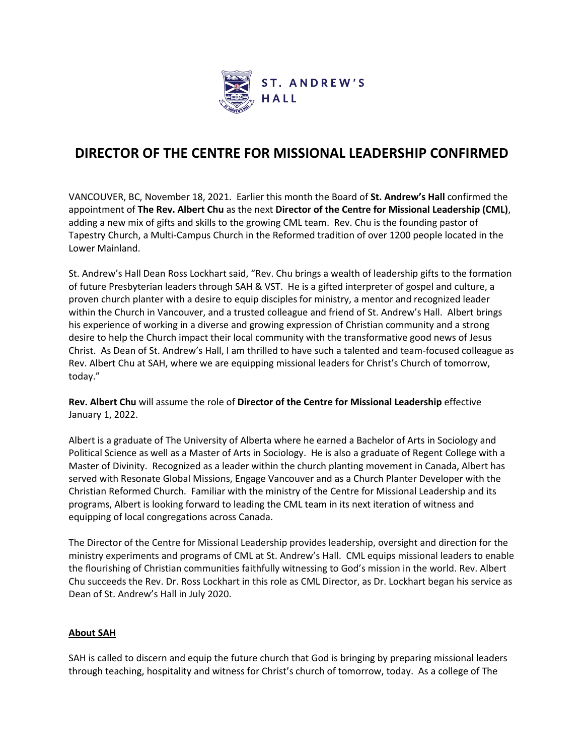

## **DIRECTOR OF THE CENTRE FOR MISSIONAL LEADERSHIP CONFIRMED**

VANCOUVER, BC, November 18, 2021. Earlier this month the Board of **St. Andrew's Hall** confirmed the appointment of **The Rev. Albert Chu** as the next **Director of the Centre for Missional Leadership (CML)**, adding a new mix of gifts and skills to the growing CML team. Rev. Chu is the founding pastor of Tapestry Church, a Multi-Campus Church in the Reformed tradition of over 1200 people located in the Lower Mainland.

St. Andrew's Hall Dean Ross Lockhart said, "Rev. Chu brings a wealth of leadership gifts to the formation of future Presbyterian leaders through SAH & VST. He is a gifted interpreter of gospel and culture, a proven church planter with a desire to equip disciples for ministry, a mentor and recognized leader within the Church in Vancouver, and a trusted colleague and friend of St. Andrew's Hall. Albert brings his experience of working in a diverse and growing expression of Christian community and a strong desire to help the Church impact their local community with the transformative good news of Jesus Christ. As Dean of St. Andrew's Hall, I am thrilled to have such a talented and team-focused colleague as Rev. Albert Chu at SAH, where we are equipping missional leaders for Christ's Church of tomorrow, today."

**Rev. Albert Chu** will assume the role of **Director of the Centre for Missional Leadership** effective January 1, 2022.

Albert is a graduate of The University of Alberta where he earned a Bachelor of Arts in Sociology and Political Science as well as a Master of Arts in Sociology. He is also a graduate of Regent College with a Master of Divinity. Recognized as a leader within the church planting movement in Canada, Albert has served with Resonate Global Missions, Engage Vancouver and as a Church Planter Developer with the Christian Reformed Church. Familiar with the ministry of the Centre for Missional Leadership and its programs, Albert is looking forward to leading the CML team in its next iteration of witness and equipping of local congregations across Canada.

The Director of the Centre for Missional Leadership provides leadership, oversight and direction for the ministry experiments and programs of CML at St. Andrew's Hall. CML equips missional leaders to enable the flourishing of Christian communities faithfully witnessing to God's mission in the world. Rev. Albert Chu succeeds the Rev. Dr. Ross Lockhart in this role as CML Director, as Dr. Lockhart began his service as Dean of St. Andrew's Hall in July 2020.

## **About SAH**

SAH is called to discern and equip the future church that God is bringing by preparing missional leaders through teaching, hospitality and witness for Christ's church of tomorrow, today. As a college of The